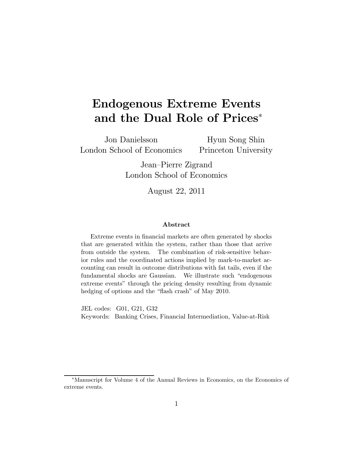# Endogenous Extreme Events and the Dual Role of Prices<sup>∗</sup>

Jon Danielsson London School of Economics

Hyun Song Shin Princeton University

Jean—Pierre Zigrand London School of Economics

August 22, 2011

#### Abstract

Extreme events in financial markets are often generated by shocks that are generated within the system, rather than those that arrive from outside the system. The combination of risk-sensitive behavior rules and the coordinated actions implied by mark-to-market accounting can result in outcome distributions with fat tails, even if the fundamental shocks are Gaussian. We illustrate such "endogenous extreme events" through the pricing density resulting from dynamic hedging of options and the "flash crash" of May 2010.

JEL codes: G01, G21, G32 Keywords: Banking Crises, Financial Intermediation, Value-at-Risk

<sup>∗</sup>Manuscript for Volume 4 of the Annual Reviews in Economics, on the Economics of extreme events.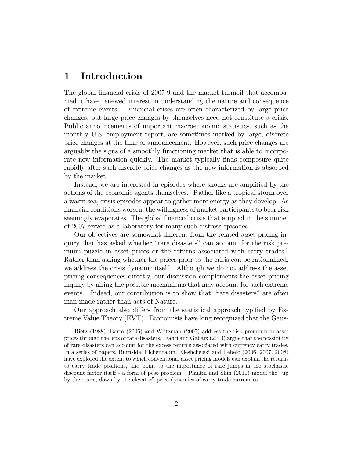## 1 Introduction

The global financial crisis of 2007-9 and the market turmoil that accompanied it have renewed interest in understanding the nature and consequence of extreme events. Financial crises are often characterized by large price changes, but large price changes by themselves need not constitute a crisis. Public announcements of important macroeconomic statistics, such as the monthly U.S. employment report, are sometimes marked by large, discrete price changes at the time of announcement. However, such price changes are arguably the signs of a smoothly functioning market that is able to incorporate new information quickly. The market typically finds composure quite rapidly after such discrete price changes as the new information is absorbed by the market.

Instead, we are interested in episodes where shocks are amplified by the actions of the economic agents themselves. Rather like a tropical storm over a warm sea, crisis episodes appear to gather more energy as they develop. As financial conditions worsen, the willingness of market participants to bear risk seemingly evaporates. The global financial crisis that erupted in the summer of 2007 served as a laboratory for many such distress episodes.

Our objectives are somewhat different from the related asset pricing inquiry that has asked whether "rare disasters" can account for the risk premium puzzle in asset prices or the returns associated with carry trades.<sup>1</sup> Rather than asking whether the prices prior to the crisis can be rationalized, we address the crisis dynamic itself. Although we do not address the asset pricing consequences directly, our discussion complements the asset pricing inquiry by airing the possible mechanisms that may account for such extreme events. Indeed, our contribution is to show that "rare disasters" are often man-made rather than acts of Nature.

Our approach also differs from the statistical approach typified by Extreme Value Theory (EVT). Economists have long recognized that the Gaus-

<sup>1</sup>Rietz (1988), Barro (2006) and Weitzman (2007) address the risk premium in asset prices through the lens of rare disasters. Fahri and Gabaix (2010) argue that the possibility of rare disasters can account for the excess returns associated with currency carry trades. In a series of papers, Burnside, Eichenbaum, Kleshchelski and Rebelo (2006, 2007, 2008) have explored the extent to which conventional asset pricing models can explain the returns to carry trade positions, and point to the importance of rare jumps in the stochastic discount factor itself - a form of peso problem. Plantin and Shin (2010) model the "up by the stairs, down by the elevator" price dynamics of carry trade currencies.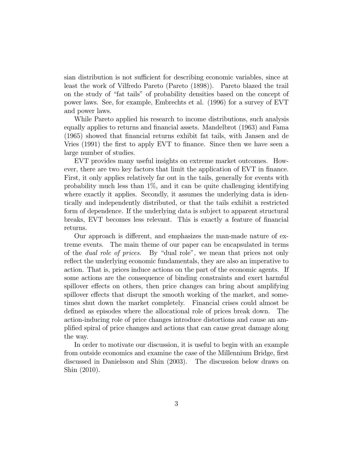sian distribution is not sufficient for describing economic variables, since at least the work of Vilfredo Pareto (Pareto (1898)). Pareto blazed the trail on the study of "fat tails" of probability densities based on the concept of power laws. See, for example, Embrechts et al. (1996) for a survey of EVT and power laws.

While Pareto applied his research to income distributions, such analysis equally applies to returns and financial assets. Mandelbrot (1963) and Fama (1965) showed that financial returns exhibit fat tails, with Jansen and de Vries (1991) the first to apply EVT to finance. Since then we have seen a large number of studies.

EVT provides many useful insights on extreme market outcomes. However, there are two key factors that limit the application of EVT in finance. First, it only applies relatively far out in the tails, generally for events with probability much less than 1%, and it can be quite challenging identifying where exactly it applies. Secondly, it assumes the underlying data is identically and independently distributed, or that the tails exhibit a restricted form of dependence. If the underlying data is subject to apparent structural breaks, EVT becomes less relevant. This is exactly a feature of financial returns.

Our approach is different, and emphasizes the man-made nature of extreme events. The main theme of our paper can be encapsulated in terms of the dual role of prices. By "dual role", we mean that prices not only reflect the underlying economic fundamentals, they are also an imperative to action. That is, prices induce actions on the part of the economic agents. If some actions are the consequence of binding constraints and exert harmful spillover effects on others, then price changes can bring about amplifying spillover effects that disrupt the smooth working of the market, and sometimes shut down the market completely. Financial crises could almost be defined as episodes where the allocational role of prices break down. The action-inducing role of price changes introduce distortions and cause an amplified spiral of price changes and actions that can cause great damage along the way.

In order to motivate our discussion, it is useful to begin with an example from outside economics and examine the case of the Millennium Bridge, first discussed in Danielsson and Shin (2003). The discussion below draws on Shin (2010).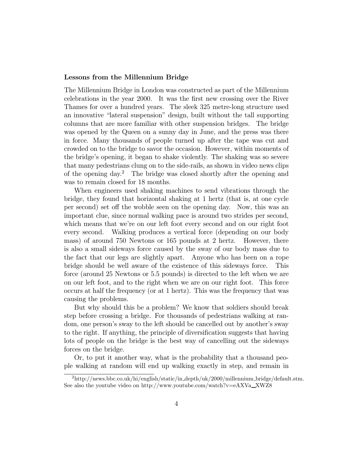#### Lessons from the Millennium Bridge

The Millennium Bridge in London was constructed as part of the Millennium celebrations in the year 2000. It was the first new crossing over the River Thames for over a hundred years. The sleek 325 metre-long structure used an innovative "lateral suspension" design, built without the tall supporting columns that are more familiar with other suspension bridges. The bridge was opened by the Queen on a sunny day in June, and the press was there in force. Many thousands of people turned up after the tape was cut and crowded on to the bridge to savor the occasion. However, within moments of the bridge's opening, it began to shake violently. The shaking was so severe that many pedestrians clung on to the side-rails, as shown in video news clips of the opening day.<sup>2</sup> The bridge was closed shortly after the opening and was to remain closed for 18 months.

When engineers used shaking machines to send vibrations through the bridge, they found that horizontal shaking at 1 hertz (that is, at one cycle per second) set off the wobble seen on the opening day. Now, this was an important clue, since normal walking pace is around two strides per second, which means that we're on our left foot every second and on our right foot every second. Walking produces a vertical force (depending on our body mass) of around 750 Newtons or 165 pounds at 2 hertz. However, there is also a small sideways force caused by the sway of our body mass due to the fact that our legs are slightly apart. Anyone who has been on a rope bridge should be well aware of the existence of this sideways force. This force (around 25 Newtons or 5.5 pounds) is directed to the left when we are on our left foot, and to the right when we are on our right foot. This force occurs at half the frequency (or at 1 hertz). This was the frequency that was causing the problems.

But why should this be a problem? We know that soldiers should break step before crossing a bridge. For thousands of pedestrians walking at random, one person's sway to the left should be cancelled out by another's sway to the right. If anything, the principle of diversification suggests that having lots of people on the bridge is the best way of cancelling out the sideways forces on the bridge.

Or, to put it another way, what is the probability that a thousand people walking at random will end up walking exactly in step, and remain in

 $^{2}$ http://news.bbc.co.uk/hi/english/static/in\_depth/uk/2000/millennium\_bridge/default.stm. See also the youtube video on http://www.youtube.com/watch?v=eAXVa $\_\text{XWZ8}$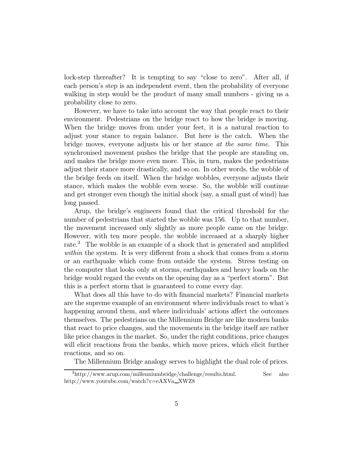lock-step thereafter? It is tempting to say "close to zero". After all, if each person's step is an independent event, then the probability of everyone walking in step would be the product of many small numbers - giving us a probability close to zero.

However, we have to take into account the way that people react to their environment. Pedestrians on the bridge react to how the bridge is moving. When the bridge moves from under your feet, it is a natural reaction to adjust your stance to regain balance. But here is the catch. When the bridge moves, everyone adjusts his or her stance at the same time. This synchronised movement pushes the bridge that the people are standing on, and makes the bridge move even more. This, in turn, makes the pedestrians adjust their stance more drastically, and so on. In other words, the wobble of the bridge feeds on itself. When the bridge wobbles, everyone adjusts their stance, which makes the wobble even worse. So, the wobble will continue and get stronger even though the initial shock (say, a small gust of wind) has long passed.

Arup, the bridge's engineers found that the critical threshold for the number of pedestrians that started the wobble was 156. Up to that number, the movement increased only slightly as more people came on the bridge. However, with ten more people, the wobble increased at a sharply higher rate.<sup>3</sup> The wobble is an example of a shock that is generated and amplified within the system. It is very different from a shock that comes from a storm or an earthquake which come from outside the system. Stress testing on the computer that looks only at storms, earthquakes and heavy loads on the bridge would regard the events on the opening day as a "perfect storm". But this is a perfect storm that is guaranteed to come every day.

What does all this have to do with financial markets? Financial markets are the supreme example of an environment where individuals react to what's happening around them, and where individuals' actions affect the outcomes themselves. The pedestrians on the Millennium Bridge are like modern banks that react to price changes, and the movements in the bridge itself are rather like price changes in the market. So, under the right conditions, price changes will elicit reactions from the banks, which move prices, which elicit further reactions, and so on.

The Millennium Bridge analogy serves to highlight the dual role of prices.

<sup>3</sup>http://www.arup.com/millenniumbridge/challenge/results.html. See also http://www.youtube.com/watch?v=eAXVa\_XWZ8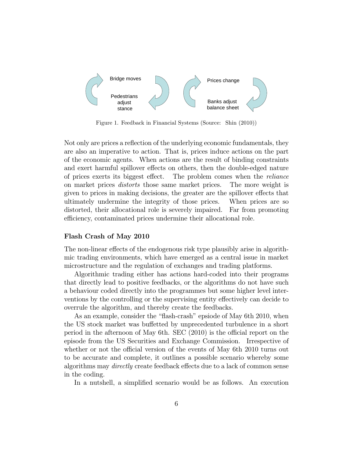

Figure 1. Feedback in Financial Systems (Source: Shin (2010))

Not only are prices a reflection of the underlying economic fundamentals, they are also an imperative to action. That is, prices induce actions on the part of the economic agents. When actions are the result of binding constraints and exert harmful spillover effects on others, then the double-edged nature of prices exerts its biggest effect. The problem comes when the reliance on market prices distorts those same market prices. The more weight is given to prices in making decisions, the greater are the spillover effects that ultimately undermine the integrity of those prices. When prices are so distorted, their allocational role is severely impaired. Far from promoting efficiency, contaminated prices undermine their allocational role.

#### Flash Crash of May 2010

The non-linear effects of the endogenous risk type plausibly arise in algorithmic trading environments, which have emerged as a central issue in market microstructure and the regulation of exchanges and trading platforms.

Algorithmic trading either has actions hard-coded into their programs that directly lead to positive feedbacks, or the algorithms do not have such a behaviour coded directly into the programmes but some higher level interventions by the controlling or the supervising entity effectively can decide to overrule the algorithm, and thereby create the feedbacks.

As an example, consider the "flash-crash" epsiode of May 6th 2010, when the US stock market was buffetted by unprecedented turbulence in a short period in the afternoon of May 6th. SEC (2010) is the official report on the episode from the US Securities and Exchange Commission. Irrespective of whether or not the official version of the events of May 6th 2010 turns out to be accurate and complete, it outlines a possible scenario whereby some algorithms may directly create feedback effects due to a lack of common sense in the coding.

In a nutshell, a simplified scenario would be as follows. An execution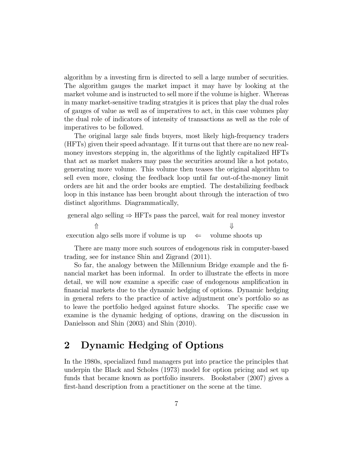algorithm by a investing firm is directed to sell a large number of securities. The algorithm gauges the market impact it may have by looking at the market volume and is instructed to sell more if the volume is higher. Whereas in many market-sensitive trading stratgies it is prices that play the dual roles of gauges of value as well as of imperatives to act, in this case volumes play the dual role of indicators of intensity of transactions as well as the role of imperatives to be followed.

The original large sale finds buyers, most likely high-frequency traders (HFTs) given their speed advantage. If it turns out that there are no new realmoney investors stepping in, the algorithms of the lightly capitalized HFTs that act as market makers may pass the securities around like a hot potato, generating more volume. This volume then teases the original algorithm to sell even more, closing the feedback loop until far out-of-the-money limit orders are hit and the order books are emptied. The destabilizing feedback loop in this instance has been brought about through the interaction of two distinct algorithms. Diagrammatically,

general algo selling  $\Rightarrow$  HFTs pass the parcel, wait for real money investor  $\mathcal{L}$ execution algo sells more if volume is up  $\leftarrow$  volume shoots up

There are many more such sources of endogenous risk in computer-based trading, see for instance Shin and Zigrand (2011).

So far, the analogy between the Millennium Bridge example and the financial market has been informal. In order to illustrate the effects in more detail, we will now examine a specific case of endogenous amplification in financial markets due to the dynamic hedging of options. Dynamic hedging in general refers to the practice of active adjustment one's portfolio so as to leave the portfolio hedged against future shocks. The specific case we examine is the dynamic hedging of options, drawing on the discussion in Danielsson and Shin (2003) and Shin (2010).

## 2 Dynamic Hedging of Options

In the 1980s, specialized fund managers put into practice the principles that underpin the Black and Scholes (1973) model for option pricing and set up funds that became known as portfolio insurers. Bookstaber (2007) gives a first-hand description from a practitioner on the scene at the time.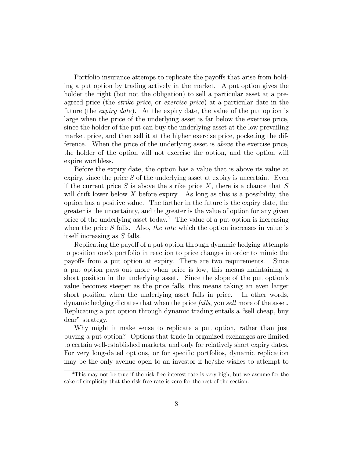Portfolio insurance attemps to replicate the payoffs that arise from holding a put option by trading actively in the market. A put option gives the holder the right (but not the obligation) to sell a particular asset at a preagreed price (the strike price, or exercise price) at a particular date in the future (the *expiry date*). At the expiry date, the value of the put option is large when the price of the underlying asset is far below the exercise price, since the holder of the put can buy the underlying asset at the low prevailing market price, and then sell it at the higher exercise price, pocketing the difference. When the price of the underlying asset is above the exercise price, the holder of the option will not exercise the option, and the option will expire worthless.

Before the expiry date, the option has a value that is above its value at expiry, since the price  $S$  of the underlying asset at expiry is uncertain. Even if the current price  $S$  is above the strike price  $X$ , there is a chance that  $S$ will drift lower below  $X$  before expiry. As long as this is a possibility, the option has a positive value. The farther in the future is the expiry date, the greater is the uncertainty, and the greater is the value of option for any given price of the underlying asset today.<sup>4</sup> The value of a put option is increasing when the price  $S$  falls. Also, the rate which the option increases in value is itself increasing as S falls.

Replicating the payoff of a put option through dynamic hedging attempts to position one's portfolio in reaction to price changes in order to mimic the payoffs from a put option at expiry. There are two requirements. Since a put option pays out more when price is low, this means maintaining a short position in the underlying asset. Since the slope of the put option's value becomes steeper as the price falls, this means taking an even larger short position when the underlying asset falls in price. In other words, dynamic hedging dictates that when the price falls, you sell more of the asset. Replicating a put option through dynamic trading entails a "sell cheap, buy dear" strategy.

Why might it make sense to replicate a put option, rather than just buying a put option? Options that trade in organized exchanges are limited to certain well-established markets, and only for relatively short expiry dates. For very long-dated options, or for specific portfolios, dynamic replication may be the only avenue open to an investor if he/she wishes to attempt to

<sup>&</sup>lt;sup>4</sup>This may not be true if the risk-free interest rate is very high, but we assume for the sake of simplicity that the risk-free rate is zero for the rest of the section.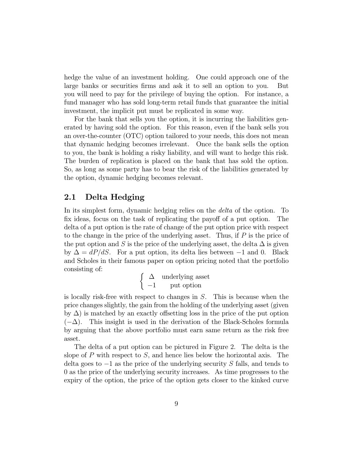hedge the value of an investment holding. One could approach one of the large banks or securities firms and ask it to sell an option to you. But you will need to pay for the privilege of buying the option. For instance, a fund manager who has sold long-term retail funds that guarantee the initial investment, the implicit put must be replicated in some way.

For the bank that sells you the option, it is incurring the liabilities generated by having sold the option. For this reason, even if the bank sells you an over-the-counter (OTC) option tailored to your needs, this does not mean that dynamic hedging becomes irrelevant. Once the bank sells the option to you, the bank is holding a risky liability, and will want to hedge this risk. The burden of replication is placed on the bank that has sold the option. So, as long as some party has to bear the risk of the liabilities generated by the option, dynamic hedging becomes relevant.

### 2.1 Delta Hedging

In its simplest form, dynamic hedging relies on the delta of the option. To fix ideas, focus on the task of replicating the payoff of a put option. The delta of a put option is the rate of change of the put option price with respect to the change in the price of the underlying asset. Thus, if  $P$  is the price of the put option and S is the price of the underlying asset, the delta  $\Delta$  is given by  $\Delta = dP/dS$ . For a put option, its delta lies between -1 and 0. Black and Scholes in their famous paper on option pricing noted that the portfolio consisting of:

$$
\left\{\begin{array}{ll}\Delta&\text{underlying asset}\\-1&\text{put option}\end{array}\right.
$$

is locally risk-free with respect to changes in  $S$ . This is because when the price changes slightly, the gain from the holding of the underlying asset (given by  $\Delta$ ) is matched by an exactly offsetting loss in the price of the put option  $(-\Delta)$ . This insight is used in the derivation of the Black-Scholes formula by arguing that the above portfolio must earn same return as the risk free asset.

The delta of a put option can be pictured in Figure 2. The delta is the slope of  $P$  with respect to  $S$ , and hence lies below the horizontal axis. The delta goes to  $-1$  as the price of the underlying security S falls, and tends to 0 as the price of the underlying security increases. As time progresses to the expiry of the option, the price of the option gets closer to the kinked curve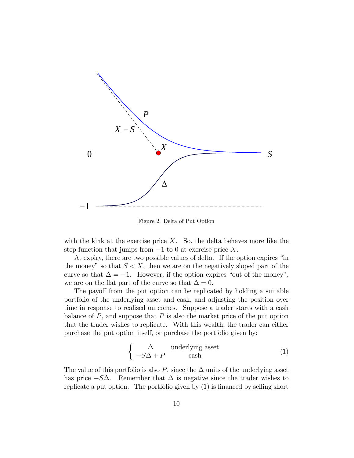

Figure 2. Delta of Put Option

with the kink at the exercise price  $X$ . So, the delta behaves more like the step function that jumps from  $-1$  to 0 at exercise price X.

At expiry, there are two possible values of delta. If the option expires "in the money" so that  $S < X$ , then we are on the negatively sloped part of the curve so that  $\Delta = -1$ . However, if the option expires "out of the money", we are on the flat part of the curve so that  $\Delta = 0$ .

The payoff from the put option can be replicated by holding a suitable portfolio of the underlying asset and cash, and adjusting the position over time in response to realised outcomes. Suppose a trader starts with a cash balance of  $P$ , and suppose that  $P$  is also the market price of the put option that the trader wishes to replicate. With this wealth, the trader can either purchase the put option itself, or purchase the portfolio given by:

$$
\begin{cases} \Delta & \text{underlying asset} \\ -S\Delta + P & \text{cash} \end{cases} \tag{1}
$$

The value of this portfolio is also P, since the  $\Delta$  units of the underlying asset has price  $-S\Delta$ . Remember that  $\Delta$  is negative since the trader wishes to replicate a put option. The portfolio given by (1) is financed by selling short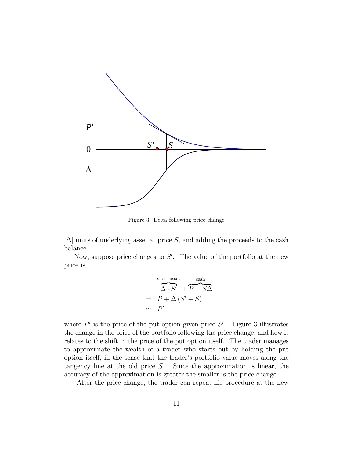

Figure 3. Delta following price change

 $|\Delta|$  units of underlying asset at price S, and adding the proceeds to the cash balance.

Now, suppose price changes to  $S'$ . The value of the portfolio at the new price is

$$
\overbrace{\Delta \cdot S'}^{\text{short asset}} + \overbrace{P - S\Delta}^{\text{cash}}
$$

$$
= P + \Delta (S' - S)
$$

$$
\simeq P'
$$

where  $P'$  is the price of the put option given price  $S'$ . Figure 3 illustrates the change in the price of the portfolio following the price change, and how it relates to the shift in the price of the put option itself. The trader manages to approximate the wealth of a trader who starts out by holding the put option itself, in the sense that the trader's portfolio value moves along the tangency line at the old price  $S$ . Since the approximation is linear, the accuracy of the approximation is greater the smaller is the price change.

After the price change, the trader can repeat his procedure at the new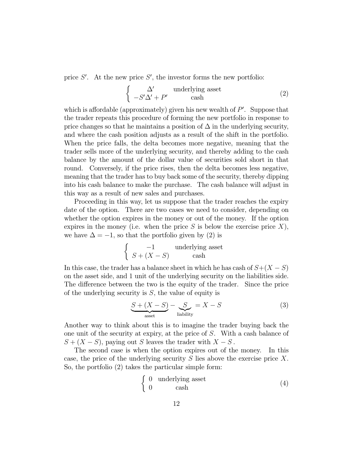price  $S'$ . At the new price  $S'$ , the investor forms the new portfolio:

$$
\begin{cases}\n\Delta' & \text{underlying asset} \\
-S'\Delta' + P' & \text{cash}\n\end{cases} \tag{2}
$$

which is affordable (approximately) given his new wealth of  $P'$ . Suppose that the trader repeats this procedure of forming the new portfolio in response to price changes so that he maintains a position of  $\Delta$  in the underlying security, and where the cash position adjusts as a result of the shift in the portfolio. When the price falls, the delta becomes more negative, meaning that the trader sells more of the underlying security, and thereby adding to the cash balance by the amount of the dollar value of securities sold short in that round. Conversely, if the price rises, then the delta becomes less negative, meaning that the trader has to buy back some of the security, thereby dipping into his cash balance to make the purchase. The cash balance will adjust in this way as a result of new sales and purchases.

Proceeding in this way, let us suppose that the trader reaches the expiry date of the option. There are two cases we need to consider, depending on whether the option expires in the money or out of the money. If the option expires in the money (i.e. when the price  $S$  is below the exercise price  $X$ ), we have  $\Delta = -1$ , so that the portfolio given by (2) is

$$
\begin{cases}\n-1 & \text{underlying asset} \\
S + (X - S) & \text{cash}\n\end{cases}
$$

In this case, the trader has a balance sheet in which he has cash of  $S + (X - S)$ on the asset side, and 1 unit of the underlying security on the liabilities side. The difference between the two is the equity of the trader. Since the price of the underlying security is  $S$ , the value of equity is

$$
\underbrace{S + (X - S)}_{\text{asset}} - \underbrace{S}_{\text{liability}} = X - S \tag{3}
$$

Another way to think about this is to imagine the trader buying back the one unit of the security at expiry, at the price of  $S$ . With a cash balance of  $S + (X - S)$ , paying out S leaves the trader with  $X - S$ .

The second case is when the option expires out of the money. In this case, the price of the underlying security  $S$  lies above the exercise price  $X$ . So, the portfolio (2) takes the particular simple form:

$$
\begin{cases}\n0 & \text{underlying asset} \\
0 & \text{cash}\n\end{cases} \tag{4}
$$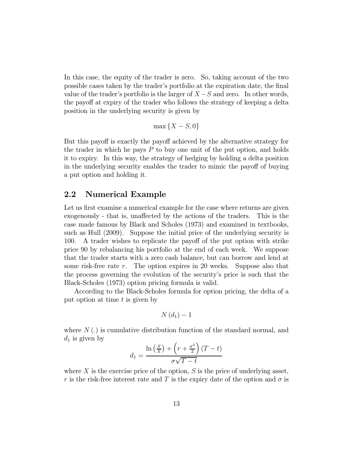In this case, the equity of the trader is zero. So, taking account of the two possible cases taken by the trader's portfolio at the expiration date, the final value of the trader's portfolio is the larger of  $X-S$  and zero. In other words, the payoff at expiry of the trader who follows the strategy of keeping a delta position in the underlying security is given by

 $\max\{X - S, 0\}$ 

But this payoff is exactly the payoff achieved by the alternative strategy for the trader in which he pays  $P$  to buy one unit of the put option, and holds it to expiry. In this way, the strategy of hedging by holding a delta position in the underlying security enables the trader to mimic the payoff of buying a put option and holding it.

### 2.2 Numerical Example

Let us first examine a numerical example for the case where returns are given exogenously - that is, unaffected by the actions of the traders. This is the case made famous by Black and Scholes (1973) and examined in textbooks, such as Hull (2009). Suppose the initial price of the underlying security is 100. A trader wishes to replicate the payoff of the put option with strike price 90 by rebalancing his portfolio at the end of each week. We suppose that the trader starts with a zero cash balance, but can borrow and lend at some risk-free rate  $r$ . The option expires in 20 weeks. Suppose also that the process governing the evolution of the security's price is such that the Black-Scholes (1973) option pricing formula is valid.

According to the Black-Scholes formula for option pricing, the delta of a put option at time  $t$  is given by

$$
N(d_1)-1
$$

where  $N(.)$  is cumulative distribution function of the standard normal, and  $d_1$  is given by

$$
d_1 = \frac{\ln\left(\frac{S}{X}\right) + \left(r + \frac{\sigma^2}{2}\right)(T - t)}{\sigma\sqrt{T - t}}
$$

where  $X$  is the exercise price of the option,  $S$  is the price of underlying asset, r is the risk-free interest rate and T is the expiry date of the option and  $\sigma$  is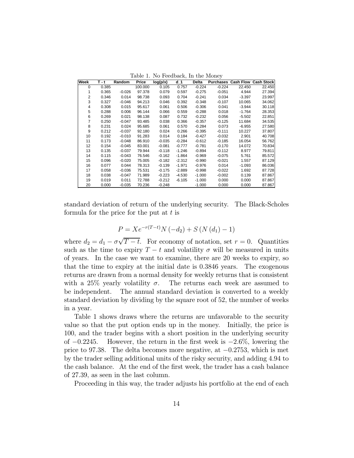| Week           | T - t | Random   | Price   | log(p/x) | d 1      | Delta    | <b>Purchases</b> |          | <b>Cash Flow Cash Stock</b> |
|----------------|-------|----------|---------|----------|----------|----------|------------------|----------|-----------------------------|
| $\Omega$       | 0.385 |          | 100.000 | 0.105    | 0.757    | $-0.224$ | $-0.224$         | 22.450   | 22.450                      |
|                | 0.365 | $-0.026$ | 97.378  | 0.079    | 0.597    | $-0.275$ | $-0.051$         | 4.944    | 27.394                      |
| 2              | 0.346 | 0.014    | 98.738  | 0.093    | 0.704    | $-0.241$ | 0.034            | $-3.397$ | 23.997                      |
| 3              | 0.327 | $-0.046$ | 94.213  | 0.046    | 0.392    | $-0.348$ | $-0.107$         | 10.065   | 34.062                      |
| 4              | 0.308 | 0.015    | 95.617  | 0.061    | 0.506    | $-0.306$ | 0.041            | $-3.944$ | 30.118                      |
| 5              | 0.288 | 0.006    | 96.144  | 0.066    | 0.559    | $-0.288$ | 0.018            | $-1.764$ | 28.353                      |
| 6              | 0.269 | 0.021    | 98.138  | 0.087    | 0.732    | $-0.232$ | 0.056            | $-5.502$ | 22.851                      |
| $\overline{7}$ | 0.250 | $-0.047$ | 93.485  | 0.038    | 0.366    | $-0.357$ | $-0.125$         | 11.684   | 34.535                      |
| 8              | 0.231 | 0.024    | 95.685  | 0.061    | 0.570    | $-0.284$ | 0.073            | $-6.955$ | 27.580                      |
| 9              | 0.212 | $-0.037$ | 92.180  | 0.024    | 0.266    | $-0.395$ | $-0.111$         | 10.227   | 37.807                      |
| 10             | 0.192 | $-0.010$ | 91.283  | 0.014    | 0.184    | $-0.427$ | $-0.032$         | 2.901    | 40.708                      |
| 11             | 0.173 | $-0.048$ | 86.910  | $-0.035$ | $-0.284$ | $-0.612$ | $-0.185$         | 16.054   | 56.762                      |
| 12             | 0.154 | $-0.045$ | 83.001  | $-0.081$ | $-0.777$ | $-0.781$ | $-0.170$         | 14.072   | 70.834                      |
| 13             | 0.135 | $-0.037$ | 79.944  | $-0.118$ | $-1.246$ | $-0.894$ | $-0.112$         | 8.977    | 79.811                      |
| 14             | 0.115 | $-0.043$ | 76.546  | $-0.162$ | $-1.864$ | $-0.969$ | $-0.075$         | 5.761    | 85.572                      |
| 15             | 0.096 | $-0.020$ | 75.005  | $-0.182$ | $-2.312$ | $-0.990$ | $-0.021$         | 1.557    | 87.129                      |
| 16             | 0.077 | 0.044    | 78.313  | $-0.139$ | $-1.971$ | $-0.976$ | 0.014            | $-1.093$ | 86.036                      |
| 17             | 0.058 | $-0.036$ | 75.531  | $-0.175$ | $-2.889$ | $-0.998$ | $-0.022$         | 1.692    | 87.728                      |
| 18             | 0.038 | $-0.047$ | 71.989  | $-0.223$ | $-4.530$ | $-1.000$ | $-0.002$         | 0.139    | 87.867                      |
| 19             | 0.019 | 0.011    | 72.788  | $-0.212$ | $-6.105$ | $-1.000$ | 0.000            | 0.000    | 87.867                      |
| 20             | 0.000 | $-0.035$ | 70.236  | $-0.248$ |          | $-1.000$ | 0.000            | 0.000    | 87.867                      |

standard deviation of return of the underlying security. The Black-Scholes formula for the price for the put at  $t$  is

$$
P = X e^{-r(T-t)} N (-d_2) + S (N (d_1) - 1)
$$

where  $d_2 = d_1 - \sigma \sqrt{T - t}$ . For economy of notation, set  $r = 0$ . Quantities such as the time to expiry  $T - t$  and volatility  $\sigma$  will be measured in units of years. In the case we want to examine, there are 20 weeks to expiry, so that the time to expiry at the initial date is 0.3846 years. The exogenous returns are drawn from a normal density for weekly returns that is consistent with a 25% yearly volatility  $\sigma$ . The returns each week are assumed to be independent. The annual standard deviation is converted to a weekly standard deviation by dividing by the square root of 52, the number of weeks in a year.

Table 1 shows draws where the returns are unfavorable to the security value so that the put option ends up in the money. Initially, the price is 100, and the trader begins with a short position in the underlying security of  $-0.2245$ . However, the return in the first week is  $-2.6\%$ , lowering the price to 97.38. The delta becomes more negative, at −02753, which is met by the trader selling additional units of the risky security, and adding 4.94 to the cash balance. At the end of the first week, the trader has a cash balance of 27.39, as seen in the last column.

Proceeding in this way, the trader adjusts his portfolio at the end of each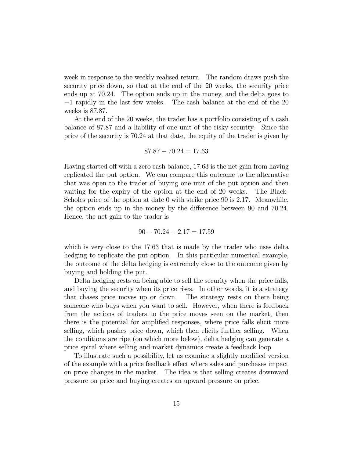week in response to the weekly realised return. The random draws push the security price down, so that at the end of the 20 weeks, the security price ends up at 70.24. The option ends up in the money, and the delta goes to −1 rapidly in the last few weeks. The cash balance at the end of the 20 weeks is 87.87.

At the end of the 20 weeks, the trader has a portfolio consisting of a cash balance of 87.87 and a liability of one unit of the risky security. Since the price of the security is 70.24 at that date, the equity of the trader is given by

$$
87.87 - 70.24 = 17.63
$$

Having started off with a zero cash balance, 17.63 is the net gain from having replicated the put option. We can compare this outcome to the alternative that was open to the trader of buying one unit of the put option and then waiting for the expiry of the option at the end of 20 weeks. The Black-Scholes price of the option at date 0 with strike price 90 is 2.17. Meanwhile, the option ends up in the money by the difference between 90 and 70.24. Hence, the net gain to the trader is

$$
90 - 70.24 - 2.17 = 17.59
$$

which is very close to the 17.63 that is made by the trader who uses delta hedging to replicate the put option. In this particular numerical example, the outcome of the delta hedging is extremely close to the outcome given by buying and holding the put.

Delta hedging rests on being able to sell the security when the price falls, and buying the security when its price rises. In other words, it is a strategy that chases price moves up or down. The strategy rests on there being someone who buys when you want to sell. However, when there is feedback from the actions of traders to the price moves seen on the market, then there is the potential for amplified responses, where price falls elicit more selling, which pushes price down, which then elicits further selling. When the conditions are ripe (on which more below), delta hedging can generate a price spiral where selling and market dynamics create a feedback loop.

To illustrate such a possibility, let us examine a slightly modified version of the example with a price feedback effect where sales and purchases impact on price changes in the market. The idea is that selling creates downward pressure on price and buying creates an upward pressure on price.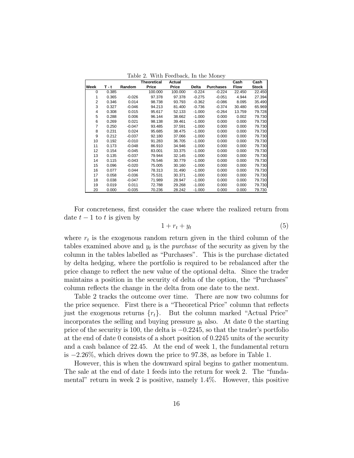|                |       |          | Theoretical | Actual  |          |                  | Cash        | Cash         |
|----------------|-------|----------|-------------|---------|----------|------------------|-------------|--------------|
| Week           | T - t | Random   | Price       | Price   | Delta    | <b>Purchases</b> | <b>Flow</b> | <b>Stock</b> |
| $\Omega$       | 0.385 |          | 100.000     | 100.000 | $-0.224$ | $-0.224$         | 22.450      | 22.450       |
|                | 0.365 | $-0.026$ | 97.378      | 97.378  | $-0.275$ | $-0.051$         | 4.944       | 27.394       |
| $\overline{2}$ | 0.346 | 0.014    | 98.738      | 93.793  | $-0.362$ | $-0.086$         | 8.095       | 35.490       |
| 3              | 0.327 | $-0.046$ | 94.213      | 81.400  | $-0.736$ | $-0.374$         | 30.480      | 65.969       |
| 4              | 0.308 | 0.015    | 95.617      | 52.133  | $-1.000$ | $-0.264$         | 13.759      | 79.728       |
| 5              | 0.288 | 0.006    | 96.144      | 38.662  | $-1.000$ | 0.000            | 0.002       | 79.730       |
| 6              | 0.269 | 0.021    | 98.138      | 39.461  | $-1.000$ | 0.000            | 0.000       | 79.730       |
| 7              | 0.250 | $-0.047$ | 93.485      | 37.591  | $-1.000$ | 0.000            | 0.000       | 79.730       |
| 8              | 0.231 | 0.024    | 95.685      | 38.475  | $-1.000$ | 0.000            | 0.000       | 79.730       |
| 9              | 0.212 | $-0.037$ | 92.180      | 37.066  | $-1.000$ | 0.000            | 0.000       | 79.730       |
| 10             | 0.192 | $-0.010$ | 91.283      | 36.705  | $-1.000$ | 0.000            | 0.000       | 79.730       |
| 11             | 0.173 | $-0.048$ | 86.910      | 34.946  | $-1.000$ | 0.000            | 0.000       | 79.730       |
| 12             | 0.154 | $-0.045$ | 83.001      | 33.375  | $-1.000$ | 0.000            | 0.000       | 79.730       |
| 13             | 0.135 | $-0.037$ | 79.944      | 32.145  | $-1.000$ | 0.000            | 0.000       | 79.730       |
| 14             | 0.115 | $-0.043$ | 76.546      | 30.779  | $-1.000$ | 0.000            | 0.000       | 79.730       |
| 15             | 0.096 | $-0.020$ | 75.005      | 30.160  | $-1.000$ | 0.000            | 0.000       | 79.730       |
| 16             | 0.077 | 0.044    | 78.313      | 31.490  | $-1.000$ | 0.000            | 0.000       | 79.730       |
| 17             | 0.058 | $-0.036$ | 75.531      | 30.371  | $-1.000$ | 0.000            | 0.000       | 79.730       |
| 18             | 0.038 | $-0.047$ | 71.989      | 28.947  | $-1.000$ | 0.000            | 0.000       | 79.730       |
| 19             | 0.019 | 0.011    | 72.788      | 29.268  | $-1.000$ | 0.000            | 0.000       | 79.730       |
| 20             | 0.000 | $-0.035$ | 70.236      | 28.242  | $-1.000$ | 0.000            | 0.000       | 79.730       |

Table 2. With Feedback, In the Money

For concreteness, first consider the case where the realized return from date  $t-1$  to  $t$  is given by

$$
1 + r_t + y_t \tag{5}
$$

where  $r_t$  is the exogenous random return given in the third column of the tables examined above and  $y_t$  is the *purchase* of the security as given by the column in the tables labelled as "Purchases". This is the purchase dictated by delta hedging, where the portfolio is required to be rebalanced after the price change to reflect the new value of the optional delta. Since the trader maintains a position in the security of delta of the option, the "Purchases" column reflects the change in the delta from one date to the next.

Table 2 tracks the outcome over time. There are now two columns for the price sequence. First there is a "Theoretical Price" column that reflects just the exogenous returns  ${r_t}$ . But the column marked "Actual Price" incorporates the selling and buying pressure  $y_t$  also. At date 0 the starting price of the security is 100, the delta is −02245, so that the trader's portfolio at the end of date 0 consists of a short position of 0.2245 units of the security and a cash balance of 22.45. At the end of week 1, the fundamental return is −226%, which drives down the price to 97.38, as before in Table 1.

However, this is when the downward spiral begins to gather momentum. The sale at the end of date 1 feeds into the return for week 2. The "fundamental" return in week 2 is positive, namely 14%. However, this positive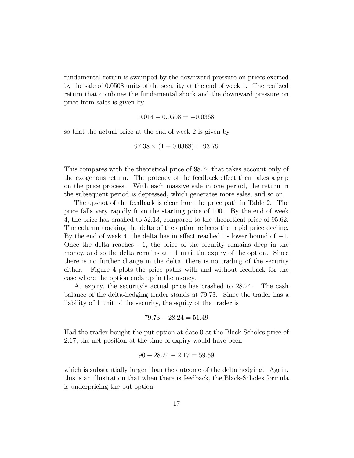fundamental return is swamped by the downward pressure on prices exerted by the sale of 0.0508 units of the security at the end of week 1. The realized return that combines the fundamental shock and the downward pressure on price from sales is given by

$$
0.014 - 0.0508 = -0.0368
$$

so that the actual price at the end of week 2 is given by

$$
97.38 \times (1 - 0.0368) = 93.79
$$

This compares with the theoretical price of 98.74 that takes account only of the exogenous return. The potency of the feedback effect then takes a grip on the price process. With each massive sale in one period, the return in the subsequent period is depressed, which generates more sales, and so on.

The upshot of the feedback is clear from the price path in Table 2. The price falls very rapidly from the starting price of 100. By the end of week 4, the price has crashed to 52.13, compared to the theoretical price of 95.62. The column tracking the delta of the option reflects the rapid price decline. By the end of week 4, the delta has in effect reached its lower bound of  $-1$ . Once the delta reaches  $-1$ , the price of the security remains deep in the money, and so the delta remains at −1 until the expiry of the option. Since there is no further change in the delta, there is no trading of the security either. Figure 4 plots the price paths with and without feedback for the case where the option ends up in the money.

At expiry, the security's actual price has crashed to 28.24. The cash balance of the delta-hedging trader stands at 79.73. Since the trader has a liability of 1 unit of the security, the equity of the trader is

$$
79.73 - 28.24 = 51.49
$$

Had the trader bought the put option at date 0 at the Black-Scholes price of 2.17, the net position at the time of expiry would have been

$$
90 - 28.24 - 2.17 = 59.59
$$

which is substantially larger than the outcome of the delta hedging. Again, this is an illustration that when there is feedback, the Black-Scholes formula is underpricing the put option.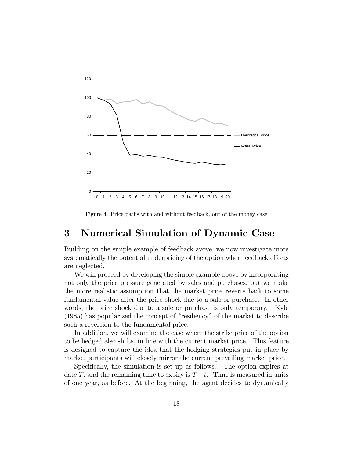

Figure 4. Price paths with and without feedback, out of the money case

## 3 Numerical Simulation of Dynamic Case

Building on the simple example of feedback avove, we now investigate more systematically the potential underpricing of the option when feedback effects are neglected.

We will proceed by developing the simple example above by incorporating not only the price pressure generated by sales and purchases, but we make the more realistic assumption that the market price reverts back to some fundamental value after the price shock due to a sale or purchase. In other words, the price shock due to a sale or purchase is only temporary. Kyle (1985) has popularized the concept of "resiliency" of the market to describe such a reversion to the fundamental price.

In addition, we will examine the case where the strike price of the option to be hedged also shifts, in line with the current market price. This feature is designed to capture the idea that the hedging strategies put in place by market participants will closely mirror the current prevailing market price.

Specifically, the simulation is set up as follows. The option expires at date T, and the remaining time to expiry is  $T-t$ . Time is measured in units of one year, as before. At the beginning, the agent decides to dynamically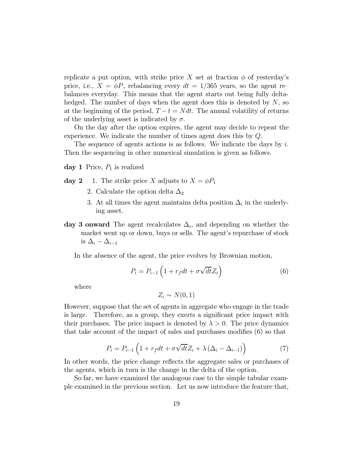replicate a put option, with strike price X set at fraction  $\phi$  of yesterday's price, i.e.,  $X = \phi P$ , rebalancing every  $dt = 1/365$  years, so the agent rebalances everyday. This means that the agent starts out being fully deltahedged. The number of days when the agent does this is denoted by  $N$ , so at the beginning of the period,  $T - t = N dt$ . The annual volatility of returns of the underlying asset is indicated by  $\sigma$ .

On the day after the option expires, the agent may decide to repeat the experience. We indicate the number of times agent does this by  $Q$ .

The sequence of agents actions is as follows. We indicate the days by  $i$ . Then the sequencing in other numerical simulation is given as follows.

day 1 Price,  $P_1$  is realized

- day 2 1. The strike price X adjusts to  $X = \phi P_1$ 
	- 2. Calculate the option delta  $\Delta_2$
	- 3. At all times the agent maintains delta position  $\Delta_i$  in the underlying asset.
- day 3 onward The agent recalculates  $\Delta_i$ , and depending on whether the market went up or down, buys or sells. The agent's repurchase of stock is  $\Delta_i - \Delta_{i-1}$

In the absence of the agent, the price evolves by Brownian motion,

$$
P_i = P_{i-1} \left( 1 + r_f dt + \sigma \sqrt{dt} Z_i \right) \tag{6}
$$

where

$$
Z_i \sim N(0,1)
$$

However, suppose that the set of agents in aggregate who engage in the trade is large. Therefore, as a group, they exerts a significant price impact with their purchases. The price impact is denoted by  $\lambda > 0$ . The price dynamics that take account of the impact of sales and purchases modifies (6) so that

$$
P_i = P_{i-1} \left( 1 + r_f dt + \sigma \sqrt{dt} Z_i + \lambda \left( \Delta_i - \Delta_{i-1} \right) \right) \tag{7}
$$

In other words, the price change reflects the aggregate sales or purchases of the agents, which in turn is the change in the delta of the option.

So far, we have examined the analogous case to the simple tabular example examined in the previous section. Let us now introduce the feature that,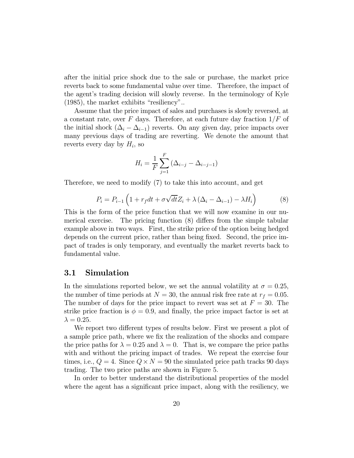after the initial price shock due to the sale or purchase, the market price reverts back to some fundamental value over time. Therefore, the impact of the agent's trading decision will slowly reverse. In the terminology of Kyle (1985), the market exhibits "resiliency"..

Assume that the price impact of sales and purchases is slowly reversed, at a constant rate, over  $F$  days. Therefore, at each future day fraction  $1/F$  of the initial shock  $(\Delta_i - \Delta_{i-1})$  reverts. On any given day, price impacts over many previous days of trading are reverting. We denote the amount that reverts every day by  $H_i$ , so

$$
H_i = \frac{1}{F} \sum_{j=1}^{F} (\Delta_{i-j} - \Delta_{i-j-1})
$$

Therefore, we need to modify (7) to take this into account, and get

$$
P_i = P_{i-1} \left( 1 + r_f dt + \sigma \sqrt{dt} Z_i + \lambda \left( \Delta_i - \Delta_{i-1} \right) - \lambda H_i \right) \tag{8}
$$

This is the form of the price function that we will now examine in our numerical exercise. The pricing function (8) differs from the simple tabular example above in two ways. First, the strike price of the option being hedged depends on the current price, rather than being fixed. Second, the price impact of trades is only temporary, and eventually the market reverts back to fundamental value.

### 3.1 Simulation

In the simulations reported below, we set the annual volatility at  $\sigma = 0.25$ , the number of time periods at  $N = 30$ , the annual risk free rate at  $r_f = 0.05$ . The number of days for the price impact to revert was set at  $F = 30$ . The strike price fraction is  $\phi = 0.9$ , and finally, the price impact factor is set at  $\lambda = 0.25$ .

We report two different types of results below. First we present a plot of a sample price path, where we fix the realization of the shocks and compare the price paths for  $\lambda = 0.25$  and  $\lambda = 0$ . That is, we compare the price paths with and without the pricing impact of trades. We repeat the exercise four times, i.e.,  $Q = 4$ . Since  $Q \times N = 90$  the simulated price path tracks 90 days trading. The two price paths are shown in Figure 5.

In order to better understand the distributional properties of the model where the agent has a significant price impact, along with the resiliency, we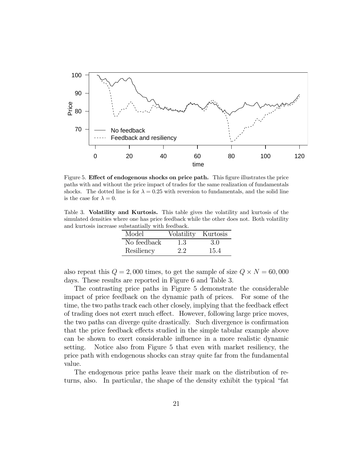

Figure 5. Effect of endogenous shocks on price path. This figure illustrates the price paths with and without the price impact of trades for the same realization of fundamentals shocks. The dotted line is for  $\lambda = 0.25$  with reversion to fundamentals, and the solid line is the case for  $\lambda = 0$ .

Table 3. Volatility and Kurtosis. This table gives the volatility and kurtosis of the simulated densities where one has price feedback while the other does not. Both volatility and kurtosis increase substantially with feedback.

| Model       | Volatility Kurtosis |      |
|-------------|---------------------|------|
| No feedback | 1.3                 | 3.0  |
| Resiliency  | 2.2                 | 15.4 |

also repeat this  $Q = 2,000$  times, to get the sample of size  $Q \times N = 60,000$ days. These results are reported in Figure 6 and Table 3.

The contrasting price paths in Figure 5 demonstrate the considerable impact of price feedback on the dynamic path of prices. For some of the time, the two paths track each other closely, implying that the feedback effect of trading does not exert much effect. However, following large price moves, the two paths can diverge quite drastically. Such divergence is confirmation that the price feedback effects studied in the simple tabular example above can be shown to exert considerable influence in a more realistic dynamic setting. Notice also from Figure 5 that even with market resiliency, the price path with endogenous shocks can stray quite far from the fundamental value.

The endogenous price paths leave their mark on the distribution of returns, also. In particular, the shape of the density exhibit the typical "fat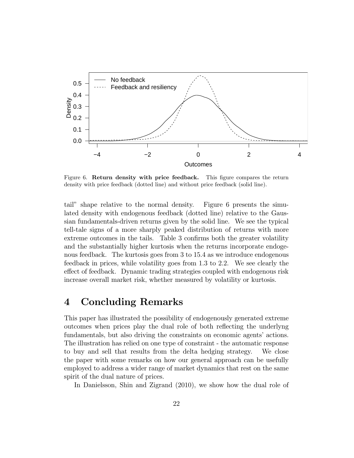

Figure 6. Return density with price feedback. This figure compares the return density with price feedback (dotted line) and without price feedback (solid line).

tail" shape relative to the normal density. Figure 6 presents the simulated density with endogenous feedback (dotted line) relative to the Gaussian fundamentals-driven returns given by the solid line. We see the typical tell-tale signs of a more sharply peaked distribution of returns with more extreme outcomes in the tails. Table 3 confirms both the greater volatility and the substantially higher kurtosis when the returns incorporate endogenous feedback. The kurtosis goes from 3 to 15.4 as we introduce endogenous feedback in prices, while volatility goes from 1.3 to 2.2. We see clearly the effect of feedback. Dynamic trading strategies coupled with endogenous risk increase overall market risk, whether measured by volatility or kurtosis.

### 4 Concluding Remarks

This paper has illustrated the possibility of endogenously generated extreme outcomes when prices play the dual role of both reflecting the underlyng fundamentals, but also driving the constraints on economic agents' actions. The illustration has relied on one type of constraint - the automatic response to buy and sell that results from the delta hedging strategy. We close the paper with some remarks on how our general approach can be usefully employed to address a wider range of market dynamics that rest on the same spirit of the dual nature of prices.

In Danielsson, Shin and Zigrand (2010), we show how the dual role of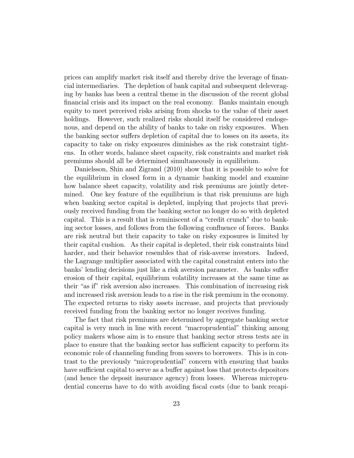prices can amplify market risk itself and thereby drive the leverage of financial intermediaries. The depletion of bank capital and subsequent deleveraging by banks has been a central theme in the discussion of the recent global financial crisis and its impact on the real economy. Banks maintain enough equity to meet perceived risks arising from shocks to the value of their asset holdings. However, such realized risks should itself be considered endogenous, and depend on the ability of banks to take on risky exposures. When the banking sector suffers depletion of capital due to losses on its assets, its capacity to take on risky exposures diminishes as the risk constraint tightens. In other words, balance sheet capacity, risk constraints and market risk premiums should all be determined simultaneously in equilibrium.

Danielsson, Shin and Zigrand (2010) show that it is possible to solve for the equilibrium in closed form in a dynamic banking model and examine how balance sheet capacity, volatility and risk premiums are jointly determined. One key feature of the equilibrium is that risk premiums are high when banking sector capital is depleted, implying that projects that previously received funding from the banking sector no longer do so with depleted capital. This is a result that is reminiscent of a "credit crunch" due to banking sector losses, and follows from the following confluence of forces. Banks are risk neutral but their capacity to take on risky exposures is limited by their capital cushion. As their capital is depleted, their risk constraints bind harder, and their behavior resembles that of risk-averse investors. Indeed, the Lagrange multiplier associated with the capital constraint enters into the banks' lending decisions just like a risk aversion parameter. As banks suffer erosion of their capital, equilibrium volatility increases at the same time as their "as if" risk aversion also increases. This combination of increasing risk and increased risk aversion leads to a rise in the risk premium in the economy. The expected returns to risky assets increase, and projects that previously received funding from the banking sector no longer receives funding.

The fact that risk premiums are determined by aggregate banking sector capital is very much in line with recent "macroprudential" thinking among policy makers whose aim is to ensure that banking sector stress tests are in place to ensure that the banking sector has sufficient capacity to perform its economic role of channeling funding from savers to borrowers. This is in contrast to the previously "microprudential" concern with ensuring that banks have sufficient capital to serve as a buffer against loss that protects depositors (and hence the deposit insurance agency) from losses. Whereas microprudential concerns have to do with avoiding fiscal costs (due to bank recapi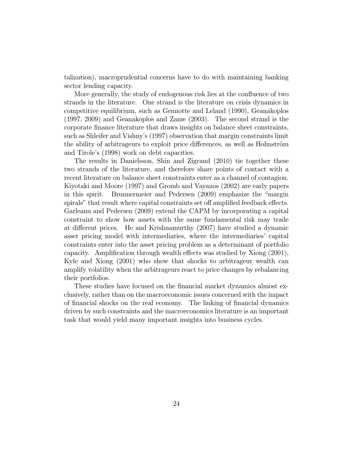talization), macroprudential concerns have to do with maintaining banking sector lending capacity.

More generally, the study of endogenous risk lies at the confluence of two strands in the literature. One strand is the literature on crisis dynamics in competitive equilibrium, such as Gennotte and Leland (1990), Geanakoplos (1997, 2009) and Geanakoplos and Zame (2003). The second strand is the corporate finance literature that draws insights on balance sheet constraints, such as Shleifer and Vishny's (1997) observation that margin constraints limit the ability of arbitrageurs to exploit price differences, as well as Holmström and Tirole's (1998) work on debt capacities.

The results in Danielsson, Shin and Zigrand (2010) tie together these two strands of the literature, and therefore share points of contact with a recent literature on balance sheet constraints enter as a channel of contagion. Kiyotaki and Moore (1997) and Gromb and Vayanos (2002) are early papers in this spirit. Brunnermeier and Pedersen (2009) emphasize the "margin spirals" that result where capital constraints set off amplified feedback effects. Garleanu and Pedersen (2009) extend the CAPM by incorporating a capital constraint to show how assets with the same fundamental risk may trade at different prices. He and Krishnamurthy (2007) have studied a dynamic asset pricing model with intermediaries, where the intermediaries' capital constraints enter into the asset pricing problem as a determinant of portfolio capacity. Amplification through wealth effects was studied by Xiong (2001), Kyle and Xiong (2001) who show that shocks to arbitrageur wealth can amplify volatility when the arbitrageurs react to price changes by rebalancing their portfolios.

These studies have focused on the financial market dynamics almost exclusively, rather than on the macroeconomic issues concerned with the impact of financial shocks on the real economy. The linking of financial dynamics driven by such constraints and the macroeconomics literature is an important task that would yield many important insights into business cycles.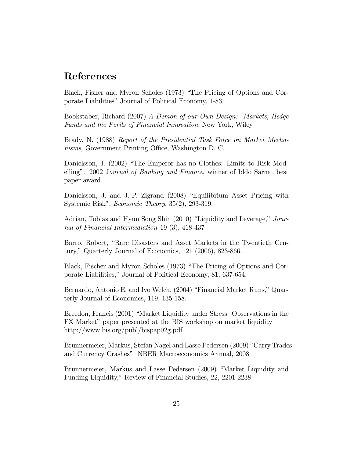### References

Black, Fisher and Myron Scholes (1973) "The Pricing of Options and Corporate Liabilities" Journal of Political Economy, 1-83.

Bookstaber, Richard (2007) A Demon of our Own Design: Markets, Hedge Funds and the Perils of Financial Innovation, New York, Wiley

Brady, N. (1988) Report of the Presidential Task Force on Market Mechanisms, Government Printing Office, Washington D. C.

Danielsson, J. (2002) "The Emperor has no Clothes: Limits to Risk Modelling". 2002 Journal of Banking and Finance, winner of Iddo Sarnat best paper award.

Danielsson, J. and J.-P. Zigrand (2008) "Equilibrium Asset Pricing with Systemic Risk", Economic Theory, 35(2), 293-319.

Adrian, Tobias and Hyun Song Shin (2010) "Liquidity and Leverage," Journal of Financial Intermediation 19 (3), 418-437

Barro, Robert, "Rare Disasters and Asset Markets in the Twentieth Century," Quarterly Journal of Economics, 121 (2006), 823-866.

Black, Fischer and Myron Scholes (1973) "The Pricing of Options and Corporate Liabilities," Journal of Political Economy, 81, 637-654.

Bernardo, Antonio E. and Ivo Welch, (2004) "Financial Market Runs," Quarterly Journal of Economics, 119, 135-158.

Breedon, Francis (2001) "Market Liquidity under Stress: Observations in the FX Market" paper presented at the BIS workshop on market liquidity http://www.bis.org/publ/bispap02g.pdf

Brunnermeier, Markus, Stefan Nagel and Lasse Pedersen (2009) "Carry Trades and Currency Crashes" NBER Macroeconomics Annual, 2008

Brunnermeier, Markus and Lasse Pedersen (2009) "Market Liquidity and Funding Liquidity," Review of Financial Studies, 22, 2201-2238.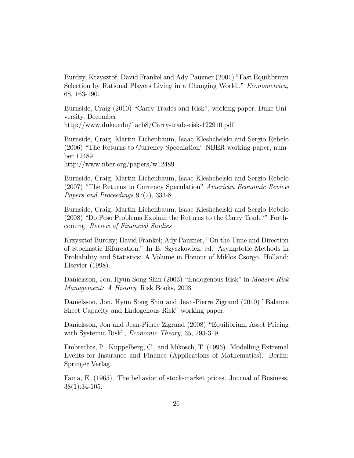Burdzy, Krzysztof, David Frankel and Ady Pauzner (2001) "Fast Equilibrium Selection by Rational Players Living in a Changing World.," Econometrica, 68, 163-190.

Burnside, Craig (2010) "Carry Trades and Risk", working paper, Duke University, December http://www.duke.edu/˜acb8/Carry-trade-risk-122910.pdf

Burnside, Craig, Martin Eichenbaum, Isaac Kleshchelski and Sergio Rebelo (2006) "The Returns to Currency Speculation" NBER working paper, number 12489

http://www.nber.org/papers/w12489

Burnside, Craig, Martin Eichenbaum, Isaac Kleshchelski and Sergio Rebelo (2007) "The Returns to Currency Speculation" American Economic Review Papers and Proceedings 97(2), 333-8.

Burnside, Craig, Martin Eichenbaum, Isaac Kleshchelski and Sergio Rebelo (2008) "Do Peso Problems Explain the Returns to the Carry Trade?" Forthcoming, Review of Financial Studies

Krzysztof Burdzy; David Frankel; Ady Pauzner, "On the Time and Direction of Stochastic Bifurcation." In B. Szyszkowicz, ed. Asymptotic Methods in Probability and Statistics: A Volume in Honour of Miklos Csorgo. Holland: Elsevier (1998).

Danielsson, Jon, Hyun Song Shin (2003) "Endogenous Risk" in Modern Risk Management: A History, Risk Books, 2003

Danielsson, Jon, Hyun Song Shin and Jean-Pierre Zigrand (2010) "Balance Sheet Capacity and Endogenous Risk" working paper.

Danielsson, Jon and Jean-Pierre Zigrand (2008) "Equilibrium Asset Pricing with Systemic Risk", *Economic Theory*, 35, 293-319

Embrechts, P., Kuppelberg, C., and Mikosch, T. (1996). Modelling Extremal Events for Insurance and Finance (Applications of Mathematics). Berlin: Springer Verlag.

Fama, E. (1965). The behavior of stock-market prices. Journal of Business, 38(1):34-105.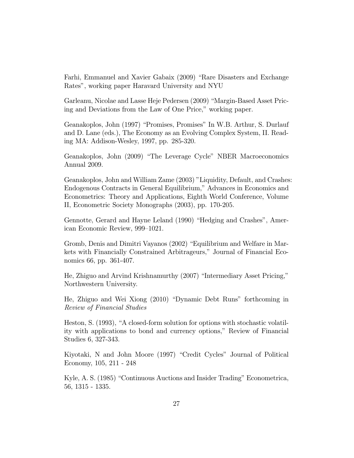Farhi, Emmanuel and Xavier Gabaix (2009) "Rare Disasters and Exchange Rates", working paper Haravard University and NYU

Garleanu, Nicolae and Lasse Heje Pedersen (2009) "Margin-Based Asset Pricing and Deviations from the Law of One Price," working paper.

Geanakoplos, John (1997) "Promises, Promises" In W.B. Arthur, S. Durlauf and D. Lane (eds.), The Economy as an Evolving Complex System, II. Reading MA: Addison-Wesley, 1997, pp. 285-320.

Geanakoplos, John (2009) "The Leverage Cycle" NBER Macroeconomics Annual 2009.

Geanakoplos, John and William Zame (2003) "Liquidity, Default, and Crashes: Endogenous Contracts in General Equilibrium," Advances in Economics and Econometrics: Theory and Applications, Eighth World Conference, Volume II, Econometric Society Monographs (2003), pp. 170-205.

Gennotte, Gerard and Hayne Leland (1990) "Hedging and Crashes", American Economic Review, 999—1021.

Gromb, Denis and Dimitri Vayanos (2002) "Equilibrium and Welfare in Markets with Financially Constrained Arbitrageurs," Journal of Financial Economics 66, pp. 361-407.

He, Zhiguo and Arvind Krishnamurthy (2007) "Intermediary Asset Pricing," Northwestern University.

He, Zhiguo and Wei Xiong (2010) "Dynamic Debt Runs" forthcoming in Review of Financial Studies

Heston, S. (1993), "A closed-form solution for options with stochastic volatility with applications to bond and currency options," Review of Financial Studies 6, 327-343.

Kiyotaki, N and John Moore (1997) "Credit Cycles" Journal of Political Economy, 105, 211 - 248

Kyle, A. S. (1985) "Continuous Auctions and Insider Trading" Econometrica, 56, 1315 - 1335.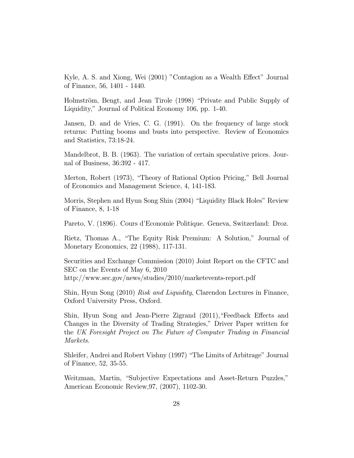Kyle, A. S. and Xiong, Wei (2001) "Contagion as a Wealth Effect" Journal of Finance, 56, 1401 - 1440.

Holmström, Bengt, and Jean Tirole (1998) "Private and Public Supply of Liquidity," Journal of Political Economy 106, pp. 1-40.

Jansen, D. and de Vries, C. G. (1991). On the frequency of large stock returns: Putting booms and busts into perspective. Review of Economics and Statistics, 73:18-24.

Mandelbrot, B. B. (1963). The variation of certain speculative prices. Journal of Business, 36:392 - 417.

Merton, Robert (1973), "Theory of Rational Option Pricing," Bell Journal of Economics and Management Science, 4, 141-183.

Morris, Stephen and Hyun Song Shin (2004) "Liquidity Black Holes" Review of Finance, 8, 1-18

Pareto, V. (1896). Cours d'Economie Politique. Geneva, Switzerland: Droz.

Rietz, Thomas A., "The Equity Risk Premium: A Solution," Journal of Monetary Economics, 22 (1988), 117-131.

Securities and Exchange Commission (2010) Joint Report on the CFTC and SEC on the Events of May 6, 2010 http://www.sec.gov/news/studies/2010/marketevents-report.pdf

Shin, Hyun Song (2010) Risk and Liquidity, Clarendon Lectures in Finance, Oxford University Press, Oxford.

Shin, Hyun Song and Jean-Pierre Zigrand (2011),"Feedback Effects and Changes in the Diversity of Trading Strategies," Driver Paper written for the UK Foresight Project on The Future of Computer Trading in Financial Markets.

Shleifer, Andrei and Robert Vishny (1997) "The Limits of Arbitrage" Journal of Finance, 52, 35-55.

Weitzman, Martin, "Subjective Expectations and Asset-Return Puzzles," American Economic Review,97, (2007), 1102-30.